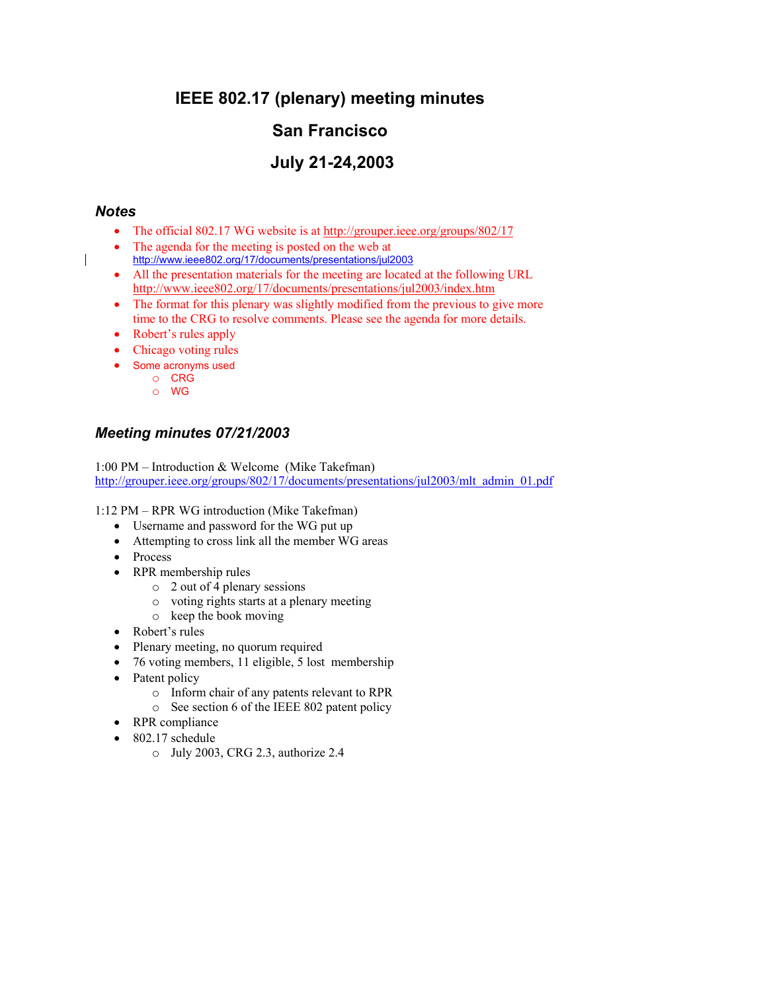# **IEEE 802.17 (plenary) meeting minutes**

# **San Francisco**

# **July 21-24,2003**

## *Notes*

 $\mathsf{l}$ 

- The official 802.17 WG website is at http://grouper.ieee.org/groups/802/17
- The agenda for the meeting is posted on the web at
- http://www.ieee802.org/17/documents/presentations/jul2003 • All the presentation materials for the meeting are located at the following URL
- http://www.ieee802.org/17/documents/presentations/jul2003/index.htm
- The format for this plenary was slightly modified from the previous to give more time to the CRG to resolve comments. Please see the agenda for more details.
- Robert's rules apply
- Chicago voting rules
- Some acronyms used
	- o CRG o WG

# *Meeting minutes 07/21/2003*

1:00 PM – Introduction & Welcome (Mike Takefman) http://grouper.ieee.org/groups/802/17/documents/presentations/jul2003/mlt\_admin\_01.pdf

1:12 PM – RPR WG introduction (Mike Takefman)

- Username and password for the WG put up
- Attempting to cross link all the member WG areas
- Process
- RPR membership rules
	- o 2 out of 4 plenary sessions
	- o voting rights starts at a plenary meeting
	- o keep the book moving
- Robert's rules
- Plenary meeting, no quorum required
- 76 voting members, 11 eligible, 5 lost membership
- Patent policy
	- o Inform chair of any patents relevant to RPR
	- o See section 6 of the IEEE 802 patent policy
- RPR compliance
- 802.17 schedule
	- o July 2003, CRG 2.3, authorize 2.4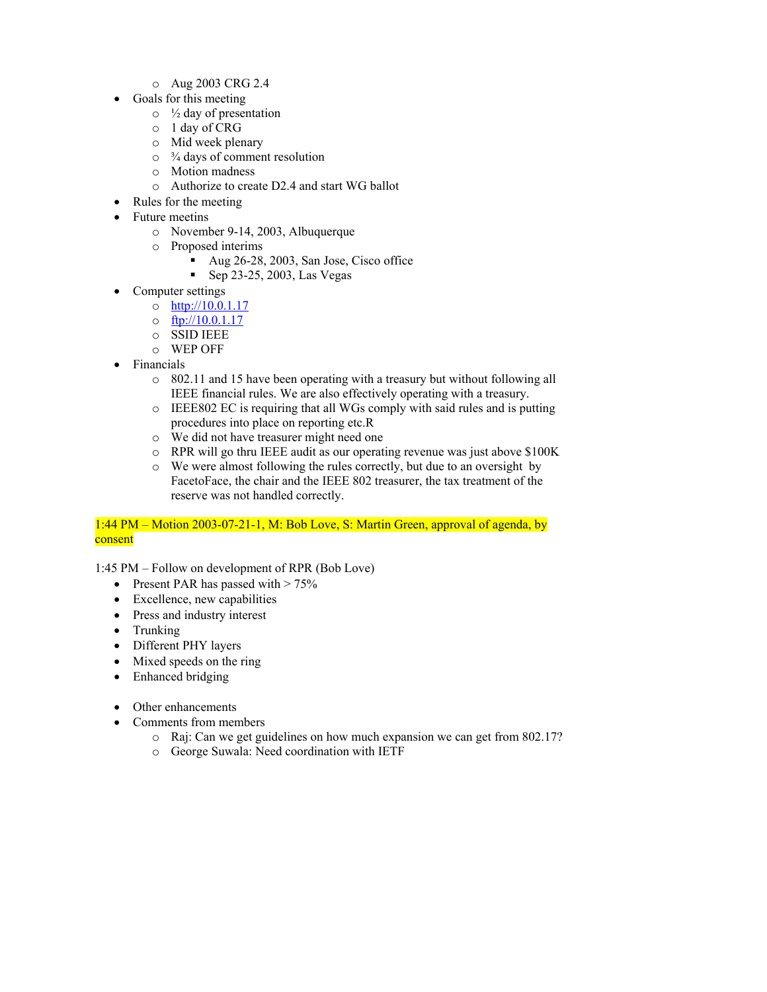- o Aug 2003 CRG 2.4
- Goals for this meeting
	- $\circ$  1/2 day of presentation
	- o 1 day of CRG
	- o Mid week plenary
	- $\circ$   $\frac{3}{4}$  days of comment resolution
	- o Motion madness
	- o Authorize to create D2.4 and start WG ballot
	- Rules for the meeting
- Future meetins
	- o November 9-14, 2003, Albuquerque
	- o Proposed interims
		- Aug 26-28, 2003, San Jose, Cisco office
		- Sep 23-25, 2003, Las Vegas
- Computer settings
	- o http://10.0.1.17
	- $\circ$  ftp://10.0.1.17
	- o SSID IEEE
	- o WEP OFF
- Financials
	- o 802.11 and 15 have been operating with a treasury but without following all IEEE financial rules. We are also effectively operating with a treasury.
	- o IEEE802 EC is requiring that all WGs comply with said rules and is putting procedures into place on reporting etc.R
	- o We did not have treasurer might need one
	- o RPR will go thru IEEE audit as our operating revenue was just above \$100K
	- o We were almost following the rules correctly, but due to an oversight by FacetoFace, the chair and the IEEE 802 treasurer, the tax treatment of the reserve was not handled correctly.

## 1:44 PM – Motion 2003-07-21-1, M: Bob Love, S: Martin Green, approval of agenda, by consent

1:45 PM – Follow on development of RPR (Bob Love)

- Present PAR has passed with  $> 75\%$
- Excellence, new capabilities
- Press and industry interest
- Trunking
- Different PHY layers
- Mixed speeds on the ring
- Enhanced bridging
- Other enhancements
- Comments from members
	- o Raj: Can we get guidelines on how much expansion we can get from 802.17?
	- o George Suwala: Need coordination with IETF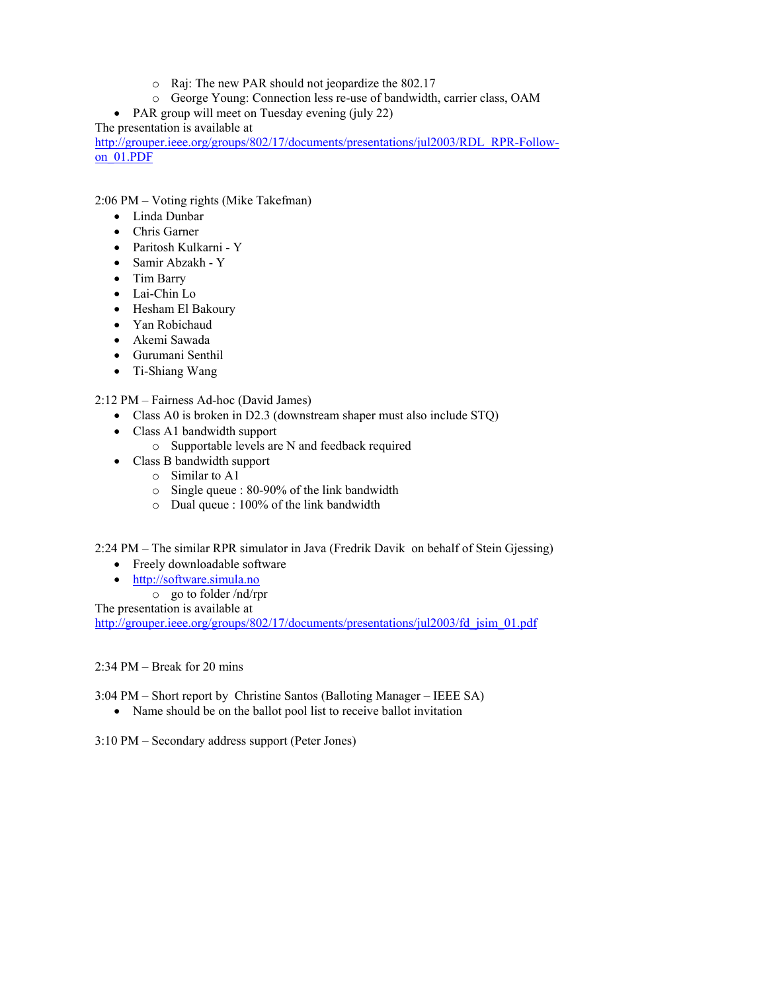- o Raj: The new PAR should not jeopardize the 802.17
- o George Young: Connection less re-use of bandwidth, carrier class, OAM

• PAR group will meet on Tuesday evening (july 22)

The presentation is available at

http://grouper.ieee.org/groups/802/17/documents/presentations/jul2003/RDL\_RPR-Followon\_01.PDF

2:06 PM – Voting rights (Mike Takefman)

- Linda Dunbar
- Chris Garner
- Paritosh Kulkarni Y
- Samir Abzakh Y
- Tim Barry
- Lai-Chin Lo
- Hesham El Bakoury
- Yan Robichaud
- Akemi Sawada
- Gurumani Senthil
- Ti-Shiang Wang

2:12 PM – Fairness Ad-hoc (David James)

- Class A0 is broken in D2.3 (downstream shaper must also include STQ)
- Class A1 bandwidth support
	- o Supportable levels are N and feedback required
- Class B bandwidth support
	- o Similar to A1
	- o Single queue : 80-90% of the link bandwidth
	- o Dual queue : 100% of the link bandwidth

2:24 PM – The similar RPR simulator in Java (Fredrik Davik on behalf of Stein Gjessing)

- Freely downloadable software
- http://software.simula.no
	- o go to folder /nd/rpr

The presentation is available at

http://grouper.ieee.org/groups/802/17/documents/presentations/jul2003/fd jsim\_01.pdf

2:34 PM – Break for 20 mins

3:04 PM – Short report by Christine Santos (Balloting Manager – IEEE SA)

• Name should be on the ballot pool list to receive ballot invitation

3:10 PM – Secondary address support (Peter Jones)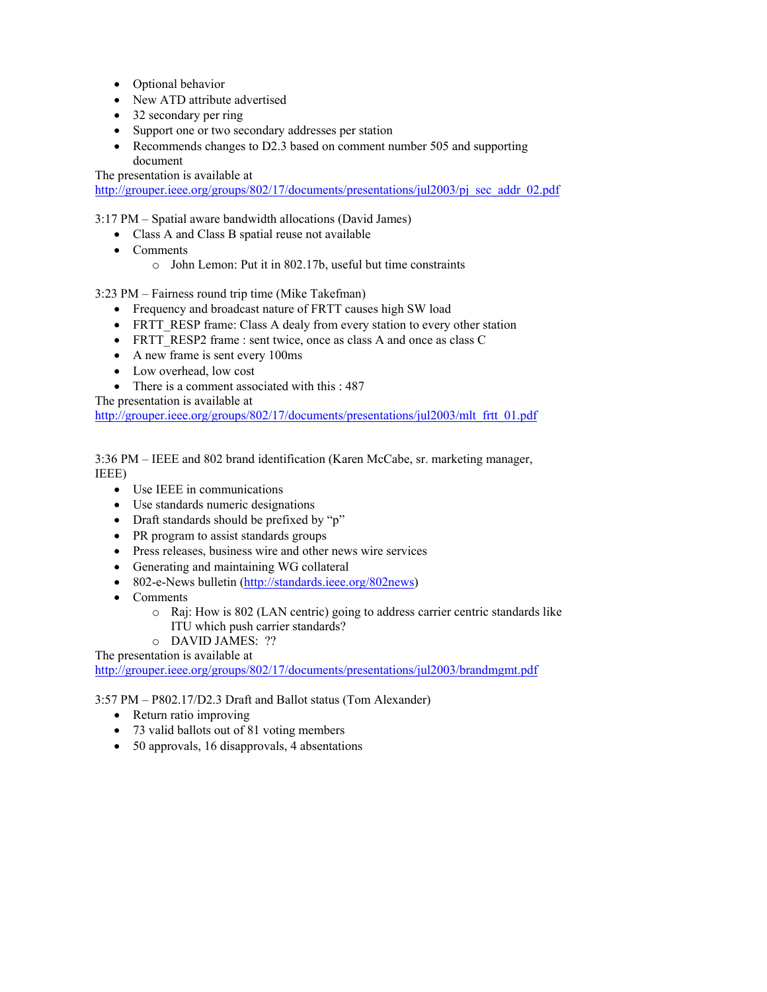- Optional behavior
- New ATD attribute advertised
- 32 secondary per ring
- Support one or two secondary addresses per station
- Recommends changes to D2.3 based on comment number 505 and supporting document

The presentation is available at

http://grouper.ieee.org/groups/802/17/documents/presentations/jul2003/pj\_sec\_addr\_02.pdf

3:17 PM – Spatial aware bandwidth allocations (David James)

- Class A and Class B spatial reuse not available
- Comments
	- o John Lemon: Put it in 802.17b, useful but time constraints

3:23 PM – Fairness round trip time (Mike Takefman)

- Frequency and broadcast nature of FRTT causes high SW load
- FRTT\_RESP frame: Class A dealy from every station to every other station
- FRTT\_RESP2 frame : sent twice, once as class A and once as class C
- A new frame is sent every 100ms
- Low overhead, low cost
- There is a comment associated with this : 487

The presentation is available at

http://grouper.ieee.org/groups/802/17/documents/presentations/jul2003/mlt\_frtt\_01.pdf

3:36 PM – IEEE and 802 brand identification (Karen McCabe, sr. marketing manager, IEEE)

- Use IEEE in communications
- Use standards numeric designations
- Draft standards should be prefixed by "p"
- PR program to assist standards groups
- Press releases, business wire and other news wire services
- Generating and maintaining WG collateral
- 802-e-News bulletin (http://standards.ieee.org/802news)
- Comments
	- o Raj: How is 802 (LAN centric) going to address carrier centric standards like
		- ITU which push carrier standards?
- o DAVID JAMES: ??

The presentation is available at

http://grouper.ieee.org/groups/802/17/documents/presentations/jul2003/brandmgmt.pdf

3:57 PM – P802.17/D2.3 Draft and Ballot status (Tom Alexander)

- Return ratio improving
- 73 valid ballots out of 81 voting members
- 50 approvals, 16 disapprovals, 4 absentations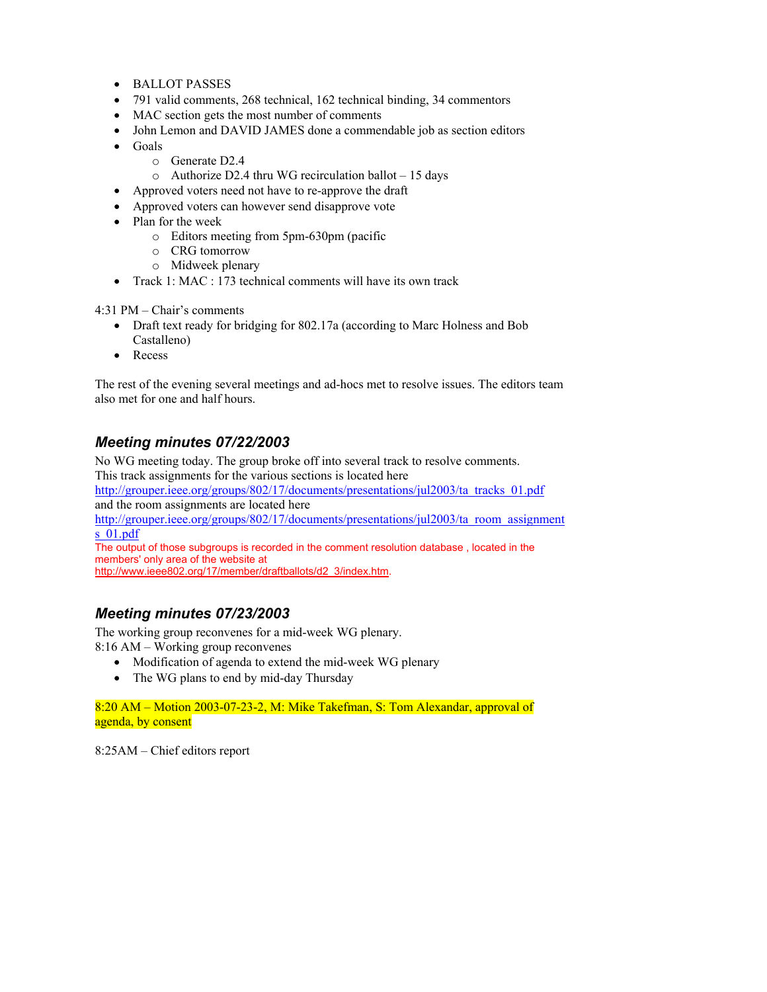- BALLOT PASSES
- 791 valid comments, 268 technical, 162 technical binding, 34 commentors
- MAC section gets the most number of comments
- John Lemon and DAVID JAMES done a commendable job as section editors
- Goals
	- o Generate D2.4
	- o Authorize D2.4 thru WG recirculation ballot 15 days
- Approved voters need not have to re-approve the draft
- Approved voters can however send disapprove vote
- Plan for the week
	- o Editors meeting from 5pm-630pm (pacific
	- o CRG tomorrow
	- o Midweek plenary
- Track 1: MAC : 173 technical comments will have its own track

4:31 PM – Chair's comments

- Draft text ready for bridging for 802.17a (according to Marc Holness and Bob Castalleno)
- Recess

The rest of the evening several meetings and ad-hocs met to resolve issues. The editors team also met for one and half hours.

# *Meeting minutes 07/22/2003*

No WG meeting today. The group broke off into several track to resolve comments. This track assignments for the various sections is located here http://grouper.ieee.org/groups/802/17/documents/presentations/jul2003/ta\_tracks\_01.pdf and the room assignments are located here http://grouper.ieee.org/groups/802/17/documents/presentations/jul2003/ta\_room\_assignment s\_01.pdf The output of those subgroups is recorded in the comment resolution database , located in the members' only area of the website at

http://www.ieee802.org/17/member/draftballots/d2\_3/index.htm.

# *Meeting minutes 07/23/2003*

The working group reconvenes for a mid-week WG plenary. 8:16 AM – Working group reconvenes

- Modification of agenda to extend the mid-week WG plenary
- The WG plans to end by mid-day Thursday

8:20 AM – Motion 2003-07-23-2, M: Mike Takefman, S: Tom Alexandar, approval of agenda, by consent

8:25AM – Chief editors report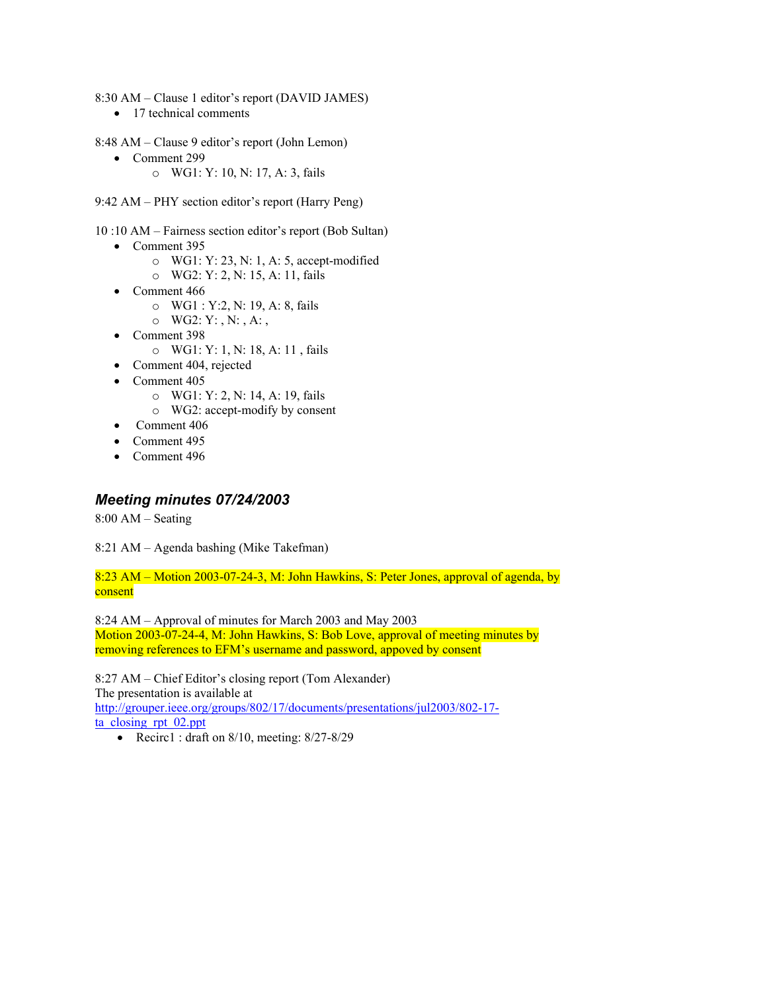- 8:30 AM Clause 1 editor's report (DAVID JAMES)
	- 17 technical comments
- 8:48 AM Clause 9 editor's report (John Lemon)
	- Comment 299
		- o WG1: Y: 10, N: 17, A: 3, fails
- 9:42 AM PHY section editor's report (Harry Peng)
- 10 :10 AM Fairness section editor's report (Bob Sultan)
	- Comment 395
		- o WG1: Y: 23, N: 1, A: 5, accept-modified
		- o WG2: Y: 2, N: 15, A: 11, fails
	- Comment 466
		- o WG1 : Y:2, N: 19, A: 8, fails
		- $O$  WG2: Y:, N:, A:,
	- Comment 398
		- o WG1: Y: 1, N: 18, A: 11 , fails
	- Comment 404, rejected
	- Comment 405
		- o WG1: Y: 2, N: 14, A: 19, fails
		- o WG2: accept-modify by consent
	- Comment 406
	- Comment 495
	- Comment 496

## *Meeting minutes 07/24/2003*

8:00 AM – Seating

8:21 AM – Agenda bashing (Mike Takefman)

8:23 AM – Motion 2003-07-24-3, M: John Hawkins, S: Peter Jones, approval of agenda, by consent

8:24 AM – Approval of minutes for March 2003 and May 2003 Motion 2003-07-24-4, M: John Hawkins, S: Bob Love, approval of meeting minutes by removing references to EFM's username and password, appoved by consent

8:27 AM – Chief Editor's closing report (Tom Alexander) The presentation is available at http://grouper.ieee.org/groups/802/17/documents/presentations/jul2003/802-17 ta\_closing\_rpt\_02.ppt

• Recirc1 : draft on 8/10, meeting: 8/27-8/29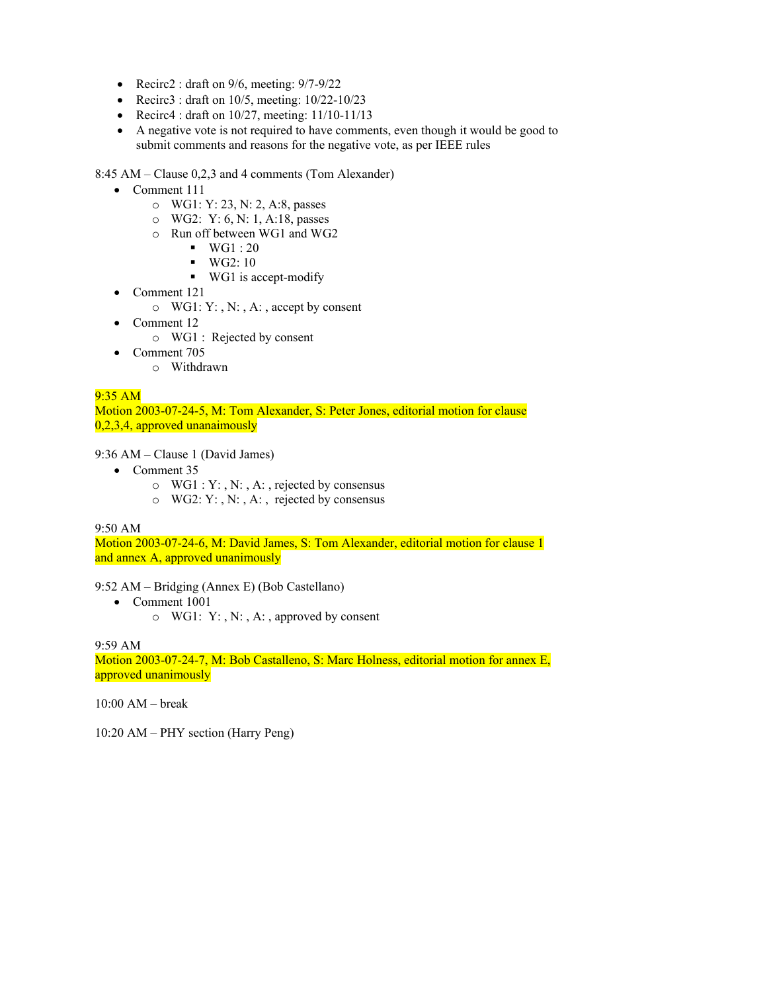- Recirc2 : draft on  $9/6$ , meeting:  $9/7-9/22$
- Recirc3 : draft on  $10/5$ , meeting:  $10/22-10/23$
- Recirc4 : draft on  $10/27$ , meeting:  $11/10-11/13$
- A negative vote is not required to have comments, even though it would be good to submit comments and reasons for the negative vote, as per IEEE rules

8:45 AM – Clause 0,2,3 and 4 comments (Tom Alexander)

- Comment 111
	- o WG1: Y: 23, N: 2, A:8, passes
	- o WG2: Y: 6, N: 1, A:18, passes
	- o Run off between WG1 and WG2
		- $\blacksquare$  WG1 : 20
		- $\blacksquare$  WG2: 10
		- WG1 is accept-modify
- Comment 121
	- $\circ$  WG1: Y:, N:, A:, accept by consent
- Comment 12
	- o WG1 : Rejected by consent
- Comment 705
	- o Withdrawn

## $9:35$  AM

Motion 2003-07-24-5, M: Tom Alexander, S: Peter Jones, editorial motion for clause 0,2,3,4, approved unanaimously

#### 9:36 AM – Clause 1 (David James)

- Comment 35
	- $\circ$  WG1 : Y:, N:, A:, rejected by consensus
	- o WG2: Y: , N: , A: , rejected by consensus

9:50 AM

Motion 2003-07-24-6, M: David James, S: Tom Alexander, editorial motion for clause 1 and annex A, approved unanimously

9:52 AM – Bridging (Annex E) (Bob Castellano)

- Comment 1001
	- o WG1: Y: , N: , A: , approved by consent

9:59 AM

Motion 2003-07-24-7, M: Bob Castalleno, S: Marc Holness, editorial motion for annex E, approved unanimously

10:00 AM – break

10:20 AM – PHY section (Harry Peng)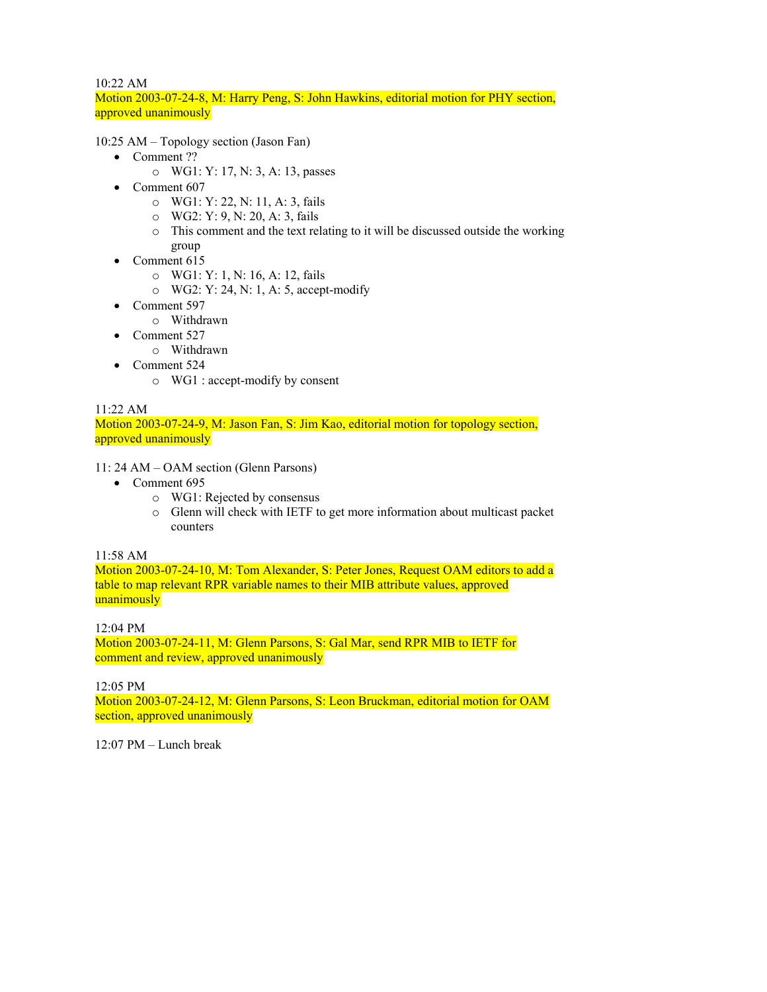## 10:22 AM

Motion 2003-07-24-8, M: Harry Peng, S: John Hawkins, editorial motion for PHY section, approved unanimously

10:25 AM – Topology section (Jason Fan)

- Comment ??
	- o WG1: Y: 17, N: 3, A: 13, passes
- Comment 607
	- o WG1: Y: 22, N: 11, A: 3, fails
	- o WG2: Y: 9, N: 20, A: 3, fails
	- o This comment and the text relating to it will be discussed outside the working group
- Comment 615
	- o WG1: Y: 1, N: 16, A: 12, fails
	- o WG2: Y: 24, N: 1, A: 5, accept-modify
- Comment 597
	- o Withdrawn
- Comment 527
	- o Withdrawn
- Comment 524
	- o WG1 : accept-modify by consent

## 11:22 AM

Motion 2003-07-24-9, M: Jason Fan, S: Jim Kao, editorial motion for topology section, approved unanimously

11: 24 AM – OAM section (Glenn Parsons)

- Comment 695
	- o WG1: Rejected by consensus
	- o Glenn will check with IETF to get more information about multicast packet counters

## 11:58 AM

Motion 2003-07-24-10, M: Tom Alexander, S: Peter Jones, Request OAM editors to add a table to map relevant RPR variable names to their MIB attribute values, approved unanimously

## 12:04 PM

Motion 2003-07-24-11, M: Glenn Parsons, S: Gal Mar, send RPR MIB to IETF for comment and review, approved unanimously

#### 12:05 PM

Motion 2003-07-24-12, M: Glenn Parsons, S: Leon Bruckman, editorial motion for OAM section, approved unanimously

12:07 PM – Lunch break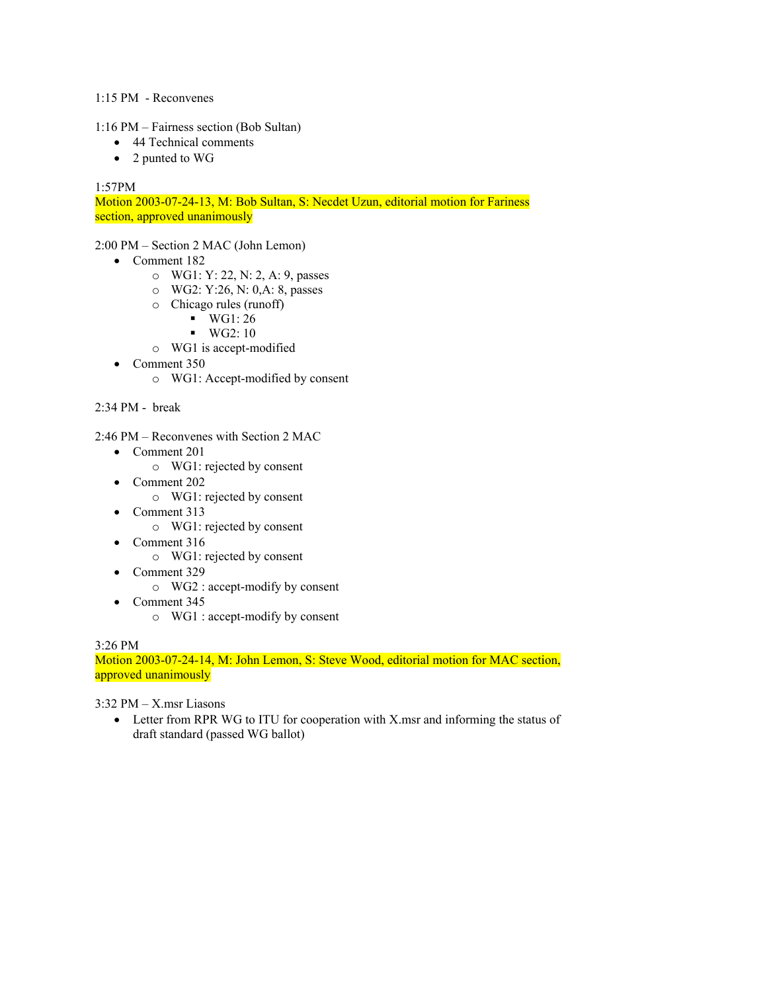#### 1:15 PM - Reconvenes

#### 1:16 PM – Fairness section (Bob Sultan)

- 44 Technical comments
- 2 punted to WG

## 1:57PM

Motion 2003-07-24-13, M: Bob Sultan, S: Necdet Uzun, editorial motion for Fariness section, approved unanimously

2:00 PM – Section 2 MAC (John Lemon)

- Comment 182
	- o WG1: Y: 22, N: 2, A: 9, passes
	- o WG2: Y:26, N: 0,A: 8, passes
	- o Chicago rules (runoff)
		- $\blacksquare$  WG1: 26
		- $\blacksquare$  WG2: 10
	- o WG1 is accept-modified
- Comment 350
	- o WG1: Accept-modified by consent

## 2:34 PM - break

- 2:46 PM Reconvenes with Section 2 MAC
	- Comment 201
		- o WG1: rejected by consent
	- Comment 202
		- o WG1: rejected by consent
	- Comment 313
		- o WG1: rejected by consent
	- Comment 316
		- o WG1: rejected by consent
	- Comment 329
		- o WG2 : accept-modify by consent
	- Comment 345
		- o WG1 : accept-modify by consent

#### 3:26 PM

Motion 2003-07-24-14, M: John Lemon, S: Steve Wood, editorial motion for MAC section, approved unanimously

3:32 PM – X.msr Liasons

• Letter from RPR WG to ITU for cooperation with X msr and informing the status of draft standard (passed WG ballot)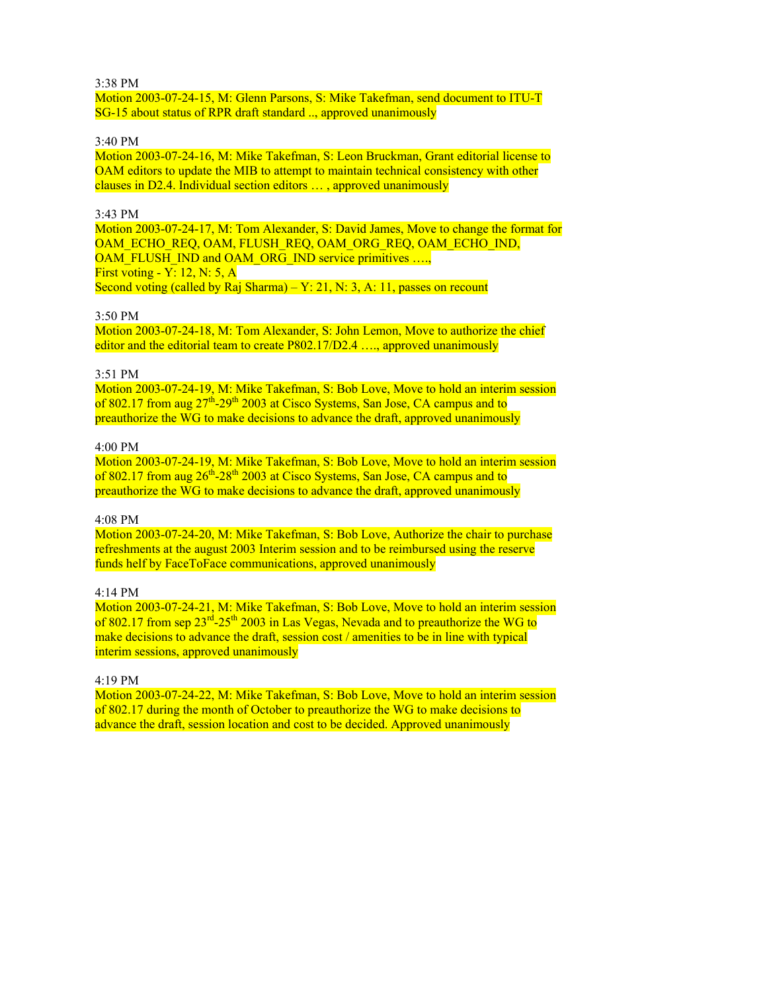3:38 PM

Motion 2003-07-24-15, M: Glenn Parsons, S: Mike Takefman, send document to ITU-T SG-15 about status of RPR draft standard .., approved unanimously

#### 3:40 PM

Motion 2003-07-24-16, M: Mike Takefman, S: Leon Bruckman, Grant editorial license to OAM editors to update the MIB to attempt to maintain technical consistency with other clauses in D2.4. Individual section editors … , approved unanimously

#### 3:43 PM

Motion 2003-07-24-17, M: Tom Alexander, S: David James, Move to change the format for OAM\_ECHO\_REQ, OAM, FLUSH\_REQ, OAM\_ORG\_REQ, OAM\_ECHO\_IND, OAM\_FLUSH\_IND and OAM\_ORG\_IND service primitives ..... First voting - Y: 12, N: 5, A Second voting (called by Raj Sharma) –  $Y: 21, N: 3, A: 11$ , passes on recount

#### 3:50 PM

Motion 2003-07-24-18, M: Tom Alexander, S: John Lemon, Move to authorize the chief editor and the editorial team to create P802.17/D2.4 ...., approved unanimously

#### 3:51 PM

Motion 2003-07-24-19, M: Mike Takefman, S: Bob Love, Move to hold an interim session of 802.17 from aug  $27^{th}$ -29<sup>th</sup> 2003 at Cisco Systems, San Jose, CA campus and to preauthorize the WG to make decisions to advance the draft, approved unanimously

#### 4:00 PM

Motion 2003-07-24-19, M: Mike Takefman, S: Bob Love, Move to hold an interim session of 802.17 from aug  $26^{th}$ -28<sup>th</sup> 2003 at Cisco Systems, San Jose, CA campus and to preauthorize the WG to make decisions to advance the draft, approved unanimously

#### 4:08 PM

Motion 2003-07-24-20, M: Mike Takefman, S: Bob Love, Authorize the chair to purchase refreshments at the august 2003 Interim session and to be reimbursed using the reserve funds helf by FaceToFace communications, approved unanimously

## 4:14 PM

Motion 2003-07-24-21, M: Mike Takefman, S: Bob Love, Move to hold an interim session of 802.17 from sep 23<sup>rd</sup>-25<sup>th</sup> 2003 in Las Vegas, Nevada and to preauthorize the WG to make decisions to advance the draft, session cost / amenities to be in line with typical interim sessions, approved unanimously

#### 4:19 PM

Motion 2003-07-24-22, M: Mike Takefman, S: Bob Love, Move to hold an interim session of 802.17 during the month of October to preauthorize the WG to make decisions to advance the draft, session location and cost to be decided. Approved unanimously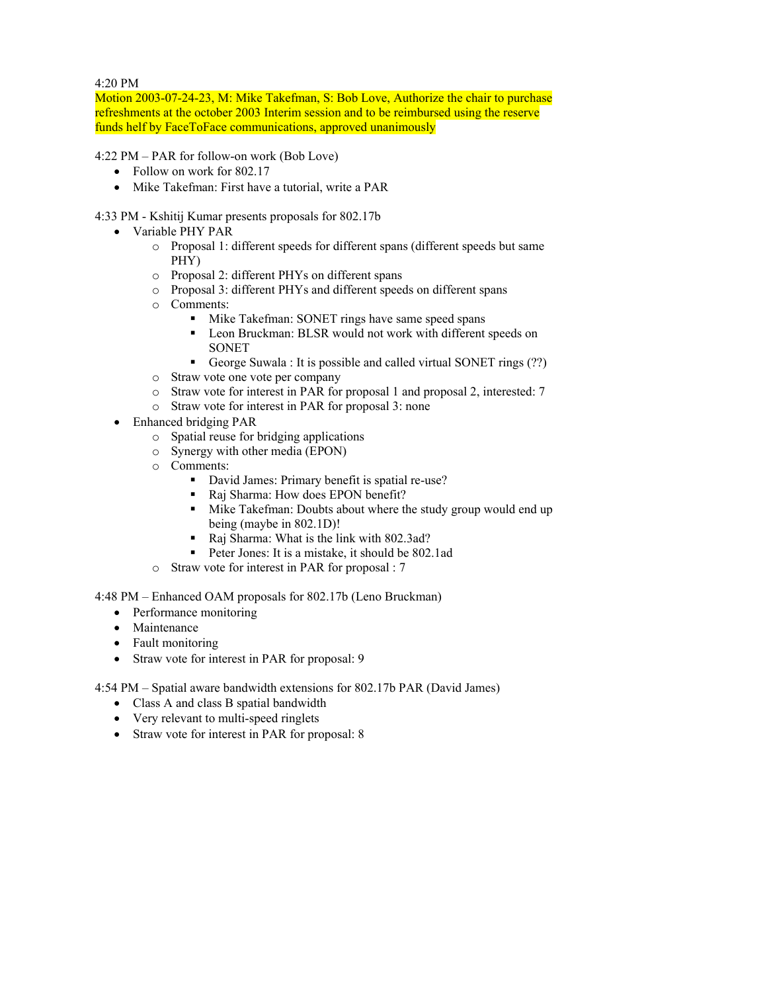4:20 PM

Motion 2003-07-24-23, M: Mike Takefman, S: Bob Love, Authorize the chair to purchase refreshments at the october 2003 Interim session and to be reimbursed using the reserve funds helf by FaceToFace communications, approved unanimously

4:22 PM – PAR for follow-on work (Bob Love)

- Follow on work for 802.17
- Mike Takefman: First have a tutorial, write a PAR

4:33 PM - Kshitij Kumar presents proposals for 802.17b

- Variable PHY PAR
	- o Proposal 1: different speeds for different spans (different speeds but same PHY)
	- o Proposal 2: different PHYs on different spans
	- o Proposal 3: different PHYs and different speeds on different spans
	- o Comments:
		- Mike Takefman: SONET rings have same speed spans
		- Leon Bruckman: BLSR would not work with different speeds on **SONET**
		- George Suwala : It is possible and called virtual SONET rings (??)
	- o Straw vote one vote per company
	- o Straw vote for interest in PAR for proposal 1 and proposal 2, interested: 7
	- o Straw vote for interest in PAR for proposal 3: none
- Enhanced bridging PAR
	- o Spatial reuse for bridging applications
	- o Synergy with other media (EPON)
	- o Comments:
		- David James: Primary benefit is spatial re-use?
		- Raj Sharma: How does EPON benefit?
		- Mike Takefman: Doubts about where the study group would end up being (maybe in 802.1D)!
		- Raj Sharma: What is the link with 802.3ad?
		- Peter Jones: It is a mistake, it should be 802.1ad
	- Straw vote for interest in PAR for proposal : 7

4:48 PM – Enhanced OAM proposals for 802.17b (Leno Bruckman)

- Performance monitoring
- Maintenance
- Fault monitoring
- Straw vote for interest in PAR for proposal: 9

4:54 PM – Spatial aware bandwidth extensions for 802.17b PAR (David James)

- Class A and class B spatial bandwidth
- Very relevant to multi-speed ringlets
- Straw vote for interest in PAR for proposal: 8